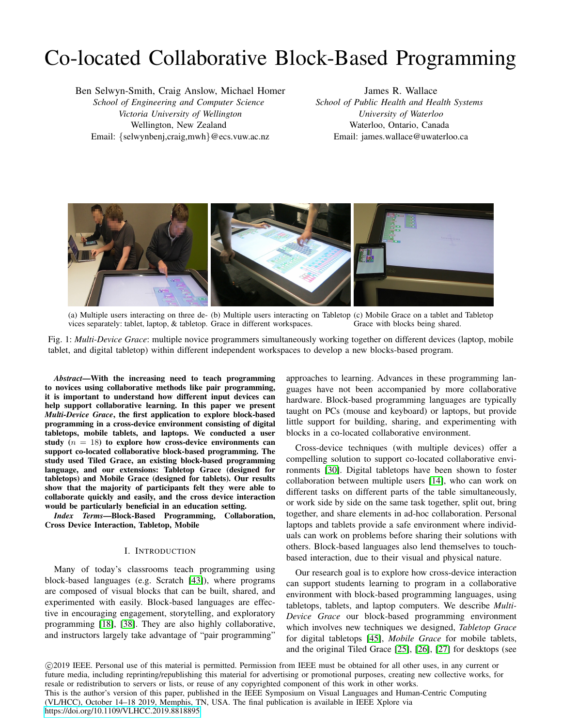# Co-located Collaborative Block-Based Programming

Ben Selwyn-Smith, Craig Anslow, Michael Homer *School of Engineering and Computer Science Victoria University of Wellington* Wellington, New Zealand Email: {selwynbenj,craig,mwh}@ecs.vuw.ac.nz

James R. Wallace *School of Public Health and Health Systems University of Waterloo* Waterloo, Ontario, Canada Email: james.wallace@uwaterloo.ca

<span id="page-0-0"></span>

(a) Multiple users interacting on three de-(b) Multiple users interacting on Tabletop (c) Mobile Grace on a tablet and Tabletop vices separately: tablet, laptop, & tabletop. Grace in different workspaces. Grace with blocks being shared.

Fig. 1: *Multi-Device Grace*: multiple novice programmers simultaneously working together on different devices (laptop, mobile tablet, and digital tabletop) within different independent workspaces to develop a new blocks-based program.

*Abstract*—With the increasing need to teach programming to novices using collaborative methods like pair programming, it is important to understand how different input devices can help support collaborative learning. In this paper we present *Multi-Device Grace*, the first application to explore block-based programming in a cross-device environment consisting of digital tabletops, mobile tablets, and laptops. We conducted a user study  $(n = 18)$  to explore how cross-device environments can support co-located collaborative block-based programming. The study used Tiled Grace, an existing block-based programming language, and our extensions: Tabletop Grace (designed for tabletops) and Mobile Grace (designed for tablets). Our results show that the majority of participants felt they were able to collaborate quickly and easily, and the cross device interaction would be particularly beneficial in an education setting.

*Index Terms*—Block-Based Programming, Collaboration, Cross Device Interaction, Tabletop, Mobile

## I. INTRODUCTION

Many of today's classrooms teach programming using block-based languages (e.g. Scratch [\[43\]](#page-9-0)), where programs are composed of visual blocks that can be built, shared, and experimented with easily. Block-based languages are effective in encouraging engagement, storytelling, and exploratory programming [\[18\]](#page-8-0), [\[38\]](#page-8-1). They are also highly collaborative, and instructors largely take advantage of "pair programming"

approaches to learning. Advances in these programming languages have not been accompanied by more collaborative hardware. Block-based programming languages are typically taught on PCs (mouse and keyboard) or laptops, but provide little support for building, sharing, and experimenting with blocks in a co-located collaborative environment.

Cross-device techniques (with multiple devices) offer a compelling solution to support co-located collaborative environments [\[30\]](#page-8-2). Digital tabletops have been shown to foster collaboration between multiple users [\[14\]](#page-8-3), who can work on different tasks on different parts of the table simultaneously, or work side by side on the same task together, split out, bring together, and share elements in ad-hoc collaboration. Personal laptops and tablets provide a safe environment where individuals can work on problems before sharing their solutions with others. Block-based languages also lend themselves to touchbased interaction, due to their visual and physical nature.

Our research goal is to explore how cross-device interaction can support students learning to program in a collaborative environment with block-based programming languages, using tabletops, tablets, and laptop computers. We describe *Multi-Device Grace* our block-based programming environment which involves new techniques we designed, *Tabletop Grace* for digital tabletops [\[45\]](#page-9-1), *Mobile Grace* for mobile tablets, and the original Tiled Grace [\[25\]](#page-8-4), [\[26\]](#page-8-5), [\[27\]](#page-8-6) for desktops (see

 c 2019 IEEE. Personal use of this material is permitted. Permission from IEEE must be obtained for all other uses, in any current or future media, including reprinting/republishing this material for advertising or promotional purposes, creating new collective works, for resale or redistribution to servers or lists, or reuse of any copyrighted component of this work in other works. This is the author's version of this paper, published in the IEEE Symposium on Visual Languages and Human-Centric Computing (VL/HCC), October 14–18 2019, Memphis, TN, USA. The final publication is available in IEEE Xplore via <https://doi.org/10.1109/VLHCC.2019.8818895>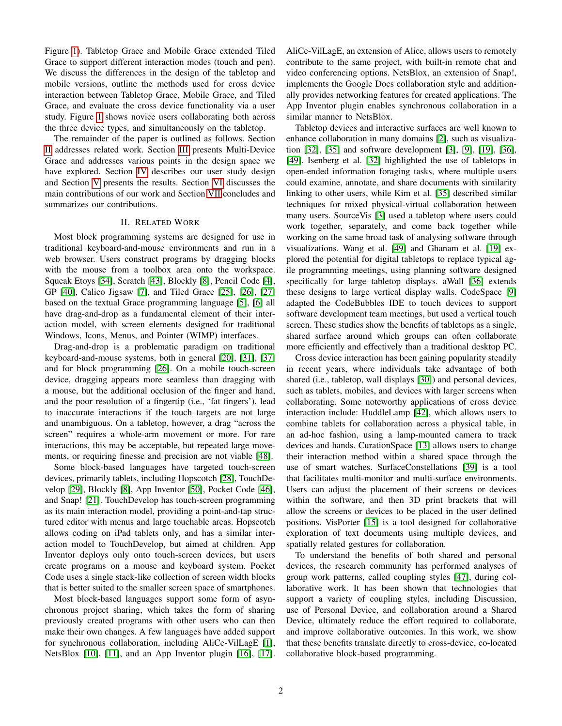Figure [1\)](#page-0-0). Tabletop Grace and Mobile Grace extended Tiled Grace to support different interaction modes (touch and pen). We discuss the differences in the design of the tabletop and mobile versions, outline the methods used for cross device interaction between Tabletop Grace, Mobile Grace, and Tiled Grace, and evaluate the cross device functionality via a user study. Figure [1](#page-0-0) shows novice users collaborating both across the three device types, and simultaneously on the tabletop.

The remainder of the paper is outlined as follows. Section [II](#page-1-0) addresses related work. Section [III](#page-2-0) presents Multi-Device Grace and addresses various points in the design space we have explored. Section [IV](#page-3-0) describes our user study design and Section [V](#page-5-0) presents the results. Section [VI](#page-6-0) discusses the main contributions of our work and Section [VII](#page-7-0) concludes and summarizes our contributions.

## II. RELATED WORK

<span id="page-1-0"></span>Most block programming systems are designed for use in traditional keyboard-and-mouse environments and run in a web browser. Users construct programs by dragging blocks with the mouse from a toolbox area onto the workspace. Squeak Etoys [\[34\]](#page-8-7), Scratch [\[43\]](#page-9-0), Blockly [\[8\]](#page-8-8), Pencil Code [\[4\]](#page-8-9), GP [\[40\]](#page-8-10), Calico Jigsaw [\[7\]](#page-8-11), and Tiled Grace [\[25\]](#page-8-4), [\[26\]](#page-8-5), [\[27\]](#page-8-6) based on the textual Grace programming language [\[5\]](#page-8-12), [\[6\]](#page-8-13) all have drag-and-drop as a fundamental element of their interaction model, with screen elements designed for traditional Windows, Icons, Menus, and Pointer (WIMP) interfaces.

Drag-and-drop is a problematic paradigm on traditional keyboard-and-mouse systems, both in general [\[20\]](#page-8-14), [\[31\]](#page-8-15), [\[37\]](#page-8-16) and for block programming [\[26\]](#page-8-5). On a mobile touch-screen device, dragging appears more seamless than dragging with a mouse, but the additional occlusion of the finger and hand, and the poor resolution of a fingertip (i.e., 'fat fingers'), lead to inaccurate interactions if the touch targets are not large and unambiguous. On a tabletop, however, a drag "across the screen" requires a whole-arm movement or more. For rare interactions, this may be acceptable, but repeated large movements, or requiring finesse and precision are not viable [\[48\]](#page-9-2).

Some block-based languages have targeted touch-screen devices, primarily tablets, including Hopscotch [\[28\]](#page-8-17), TouchDevelop [\[29\]](#page-8-18), Blockly [\[8\]](#page-8-8), App Inventor [\[50\]](#page-9-3), Pocket Code [\[46\]](#page-9-4), and Snap! [\[21\]](#page-8-19). TouchDevelop has touch-screen programming as its main interaction model, providing a point-and-tap structured editor with menus and large touchable areas. Hopscotch allows coding on iPad tablets only, and has a similar interaction model to TouchDevelop, but aimed at children. App Inventor deploys only onto touch-screen devices, but users create programs on a mouse and keyboard system. Pocket Code uses a single stack-like collection of screen width blocks that is better suited to the smaller screen space of smartphones.

Most block-based languages support some form of asynchronous project sharing, which takes the form of sharing previously created programs with other users who can then make their own changes. A few languages have added support for synchronous collaboration, including AliCe-VilLagE [\[1\]](#page-8-20), NetsBlox [\[10\]](#page-8-21), [\[11\]](#page-8-22), and an App Inventor plugin [\[16\]](#page-8-23), [\[17\]](#page-8-24).

AliCe-VilLagE, an extension of Alice, allows users to remotely contribute to the same project, with built-in remote chat and video conferencing options. NetsBlox, an extension of Snap!, implements the Google Docs collaboration style and additionally provides networking features for created applications. The App Inventor plugin enables synchronous collaboration in a similar manner to NetsBlox.

Tabletop devices and interactive surfaces are well known to enhance collaboration in many domains [\[2\]](#page-8-25), such as visualization [\[32\]](#page-8-26), [\[35\]](#page-8-27) and software development [\[3\]](#page-8-28), [\[9\]](#page-8-29), [\[19\]](#page-8-30), [\[36\]](#page-8-31), [\[49\]](#page-9-5). Isenberg et al. [\[32\]](#page-8-26) highlighted the use of tabletops in open-ended information foraging tasks, where multiple users could examine, annotate, and share documents with similarity linking to other users, while Kim et al. [\[35\]](#page-8-27) described similar techniques for mixed physical-virtual collaboration between many users. SourceVis [\[3\]](#page-8-28) used a tabletop where users could work together, separately, and come back together while working on the same broad task of analysing software through visualizations. Wang et al. [\[49\]](#page-9-5) and Ghanam et al. [\[19\]](#page-8-30) explored the potential for digital tabletops to replace typical agile programming meetings, using planning software designed specifically for large tabletop displays. aWall [\[36\]](#page-8-31) extends these designs to large vertical display walls. CodeSpace [\[9\]](#page-8-29) adapted the CodeBubbles IDE to touch devices to support software development team meetings, but used a vertical touch screen. These studies show the benefits of tabletops as a single, shared surface around which groups can often collaborate more efficiently and effectively than a traditional desktop PC.

Cross device interaction has been gaining popularity steadily in recent years, where individuals take advantage of both shared (i.e., tabletop, wall displays [\[30\]](#page-8-2)) and personal devices, such as tablets, mobiles, and devices with larger screens when collaborating. Some noteworthy applications of cross device interaction include: HuddleLamp [\[42\]](#page-8-32), which allows users to combine tablets for collaboration across a physical table, in an ad-hoc fashion, using a lamp-mounted camera to track devices and hands. CurationSpace [\[13\]](#page-8-33) allows users to change their interaction method within a shared space through the use of smart watches. SurfaceConstellations [\[39\]](#page-8-34) is a tool that facilitates multi-monitor and multi-surface environments. Users can adjust the placement of their screens or devices within the software, and then 3D print brackets that will allow the screens or devices to be placed in the user defined positions. VisPorter [\[15\]](#page-8-35) is a tool designed for collaborative exploration of text documents using multiple devices, and spatially related gestures for collaboration.

To understand the benefits of both shared and personal devices, the research community has performed analyses of group work patterns, called coupling styles [\[47\]](#page-9-6), during collaborative work. It has been shown that technologies that support a variety of coupling styles, including Discussion, use of Personal Device, and collaboration around a Shared Device, ultimately reduce the effort required to collaborate, and improve collaborative outcomes. In this work, we show that these benefits translate directly to cross-device, co-located collaborative block-based programming.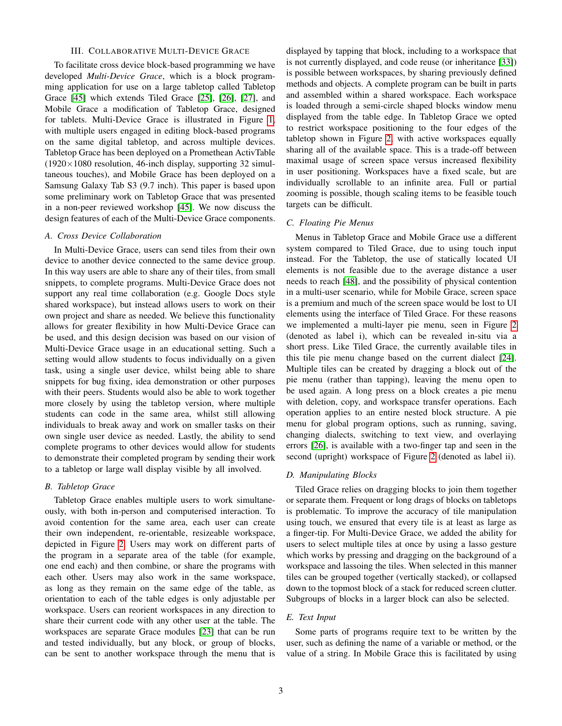## III. COLLABORATIVE MULTI-DEVICE GRACE

<span id="page-2-0"></span>To facilitate cross device block-based programming we have developed *Multi-Device Grace*, which is a block programming application for use on a large tabletop called Tabletop Grace [\[45\]](#page-9-1) which extends Tiled Grace [\[25\]](#page-8-4), [\[26\]](#page-8-5), [\[27\]](#page-8-6), and Mobile Grace a modification of Tabletop Grace, designed for tablets. Multi-Device Grace is illustrated in Figure [1,](#page-0-0) with multiple users engaged in editing block-based programs on the same digital tabletop, and across multiple devices. Tabletop Grace has been deployed on a Promethean ActivTable  $(1920\times1080$  resolution, 46-inch display, supporting 32 simultaneous touches), and Mobile Grace has been deployed on a Samsung Galaxy Tab S3 (9.7 inch). This paper is based upon some preliminary work on Tabletop Grace that was presented in a non-peer reviewed workshop [\[45\]](#page-9-1). We now discuss the design features of each of the Multi-Device Grace components.

## *A. Cross Device Collaboration*

In Multi-Device Grace, users can send tiles from their own device to another device connected to the same device group. In this way users are able to share any of their tiles, from small snippets, to complete programs. Multi-Device Grace does not support any real time collaboration (e.g. Google Docs style shared workspace), but instead allows users to work on their own project and share as needed. We believe this functionality allows for greater flexibility in how Multi-Device Grace can be used, and this design decision was based on our vision of Multi-Device Grace usage in an educational setting. Such a setting would allow students to focus individually on a given task, using a single user device, whilst being able to share snippets for bug fixing, idea demonstration or other purposes with their peers. Students would also be able to work together more closely by using the tabletop version, where multiple students can code in the same area, whilst still allowing individuals to break away and work on smaller tasks on their own single user device as needed. Lastly, the ability to send complete programs to other devices would allow for students to demonstrate their completed program by sending their work to a tabletop or large wall display visible by all involved.

#### *B. Tabletop Grace*

Tabletop Grace enables multiple users to work simultaneously, with both in-person and computerised interaction. To avoid contention for the same area, each user can create their own independent, re-orientable, resizeable workspace, depicted in Figure [2.](#page-3-1) Users may work on different parts of the program in a separate area of the table (for example, one end each) and then combine, or share the programs with each other. Users may also work in the same workspace, as long as they remain on the same edge of the table, as orientation to each of the table edges is only adjustable per workspace. Users can reorient workspaces in any direction to share their current code with any other user at the table. The workspaces are separate Grace modules [\[23\]](#page-8-36) that can be run and tested individually, but any block, or group of blocks, can be sent to another workspace through the menu that is

displayed by tapping that block, including to a workspace that is not currently displayed, and code reuse (or inheritance [\[33\]](#page-8-37)) is possible between workspaces, by sharing previously defined methods and objects. A complete program can be built in parts and assembled within a shared workspace. Each workspace is loaded through a semi-circle shaped blocks window menu displayed from the table edge. In Tabletop Grace we opted to restrict workspace positioning to the four edges of the tabletop shown in Figure [2,](#page-3-1) with active workspaces equally sharing all of the available space. This is a trade-off between maximal usage of screen space versus increased flexibility in user positioning. Workspaces have a fixed scale, but are individually scrollable to an infinite area. Full or partial zooming is possible, though scaling items to be feasible touch targets can be difficult.

## *C. Floating Pie Menus*

Menus in Tabletop Grace and Mobile Grace use a different system compared to Tiled Grace, due to using touch input instead. For the Tabletop, the use of statically located UI elements is not feasible due to the average distance a user needs to reach [\[48\]](#page-9-2), and the possibility of physical contention in a multi-user scenario, while for Mobile Grace, screen space is a premium and much of the screen space would be lost to UI elements using the interface of Tiled Grace. For these reasons we implemented a multi-layer pie menu, seen in Figure [2](#page-3-1) (denoted as label i), which can be revealed in-situ via a short press. Like Tiled Grace, the currently available tiles in this tile pie menu change based on the current dialect [\[24\]](#page-8-38). Multiple tiles can be created by dragging a block out of the pie menu (rather than tapping), leaving the menu open to be used again. A long press on a block creates a pie menu with deletion, copy, and workspace transfer operations. Each operation applies to an entire nested block structure. A pie menu for global program options, such as running, saving, changing dialects, switching to text view, and overlaying errors [\[26\]](#page-8-5), is available with a two-finger tap and seen in the second (upright) workspace of Figure [2](#page-3-1) (denoted as label ii).

## *D. Manipulating Blocks*

Tiled Grace relies on dragging blocks to join them together or separate them. Frequent or long drags of blocks on tabletops is problematic. To improve the accuracy of tile manipulation using touch, we ensured that every tile is at least as large as a finger-tip. For Multi-Device Grace, we added the ability for users to select multiple tiles at once by using a lasso gesture which works by pressing and dragging on the background of a workspace and lassoing the tiles. When selected in this manner tiles can be grouped together (vertically stacked), or collapsed down to the topmost block of a stack for reduced screen clutter. Subgroups of blocks in a larger block can also be selected.

## *E. Text Input*

Some parts of programs require text to be written by the user, such as defining the name of a variable or method, or the value of a string. In Mobile Grace this is facilitated by using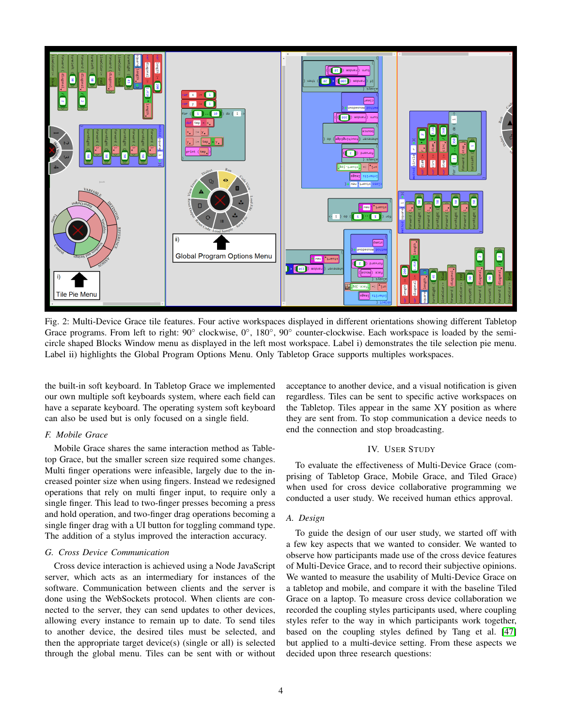<span id="page-3-1"></span>

Fig. 2: Multi-Device Grace tile features. Four active workspaces displayed in different orientations showing different Tabletop Grace programs. From left to right: 90° clockwise, 0°, 180°, 90° counter-clockwise. Each workspace is loaded by the semicircle shaped Blocks Window menu as displayed in the left most workspace. Label i) demonstrates the tile selection pie menu. Label ii) highlights the Global Program Options Menu. Only Tabletop Grace supports multiples workspaces.

the built-in soft keyboard. In Tabletop Grace we implemented our own multiple soft keyboards system, where each field can have a separate keyboard. The operating system soft keyboard can also be used but is only focused on a single field.

## *F. Mobile Grace*

Mobile Grace shares the same interaction method as Tabletop Grace, but the smaller screen size required some changes. Multi finger operations were infeasible, largely due to the increased pointer size when using fingers. Instead we redesigned operations that rely on multi finger input, to require only a single finger. This lead to two-finger presses becoming a press and hold operation, and two-finger drag operations becoming a single finger drag with a UI button for toggling command type. The addition of a stylus improved the interaction accuracy.

## *G. Cross Device Communication*

Cross device interaction is achieved using a Node JavaScript server, which acts as an intermediary for instances of the software. Communication between clients and the server is done using the WebSockets protocol. When clients are connected to the server, they can send updates to other devices, allowing every instance to remain up to date. To send tiles to another device, the desired tiles must be selected, and then the appropriate target device(s) (single or all) is selected through the global menu. Tiles can be sent with or without acceptance to another device, and a visual notification is given regardless. Tiles can be sent to specific active workspaces on the Tabletop. Tiles appear in the same XY position as where they are sent from. To stop communication a device needs to end the connection and stop broadcasting.

## IV. USER STUDY

<span id="page-3-0"></span>To evaluate the effectiveness of Multi-Device Grace (comprising of Tabletop Grace, Mobile Grace, and Tiled Grace) when used for cross device collaborative programming we conducted a user study. We received human ethics approval.

## *A. Design*

To guide the design of our user study, we started off with a few key aspects that we wanted to consider. We wanted to observe how participants made use of the cross device features of Multi-Device Grace, and to record their subjective opinions. We wanted to measure the usability of Multi-Device Grace on a tabletop and mobile, and compare it with the baseline Tiled Grace on a laptop. To measure cross device collaboration we recorded the coupling styles participants used, where coupling styles refer to the way in which participants work together, based on the coupling styles defined by Tang et al. [\[47\]](#page-9-6) but applied to a multi-device setting. From these aspects we decided upon three research questions: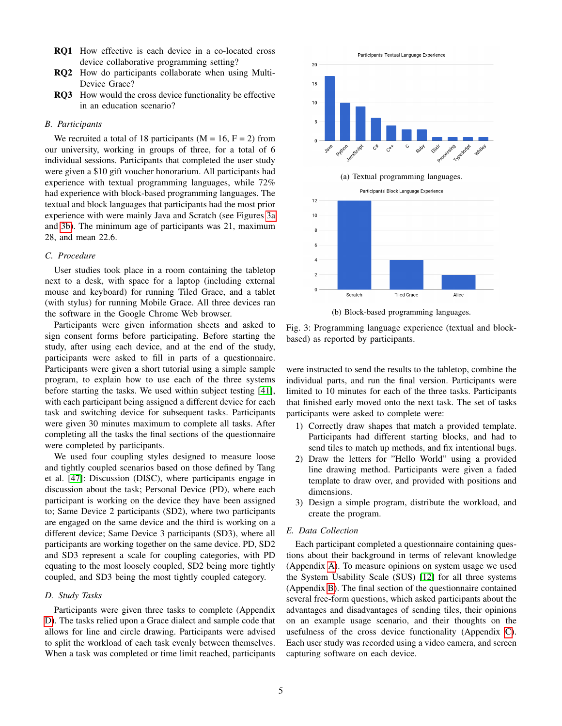- RQ1 How effective is each device in a co-located cross device collaborative programming setting?
- RQ2 How do participants collaborate when using Multi-Device Grace?
- RQ3 How would the cross device functionality be effective in an education scenario?

## *B. Participants*

We recruited a total of 18 participants ( $M = 16$ ,  $F = 2$ ) from our university, working in groups of three, for a total of 6 individual sessions. Participants that completed the user study were given a \$10 gift voucher honorarium. All participants had experience with textual programming languages, while 72% had experience with block-based programming languages. The textual and block languages that participants had the most prior experience with were mainly Java and Scratch (see Figures [3a](#page-4-0) and [3b\)](#page-4-0). The minimum age of participants was 21, maximum 28, and mean 22.6.

## *C. Procedure*

User studies took place in a room containing the tabletop next to a desk, with space for a laptop (including external mouse and keyboard) for running Tiled Grace, and a tablet (with stylus) for running Mobile Grace. All three devices ran the software in the Google Chrome Web browser.

Participants were given information sheets and asked to sign consent forms before participating. Before starting the study, after using each device, and at the end of the study, participants were asked to fill in parts of a questionnaire. Participants were given a short tutorial using a simple sample program, to explain how to use each of the three systems before starting the tasks. We used within subject testing [\[41\]](#page-8-39), with each participant being assigned a different device for each task and switching device for subsequent tasks. Participants were given 30 minutes maximum to complete all tasks. After completing all the tasks the final sections of the questionnaire were completed by participants.

We used four coupling styles designed to measure loose and tightly coupled scenarios based on those defined by Tang et al. [\[47\]](#page-9-6): Discussion (DISC), where participants engage in discussion about the task; Personal Device (PD), where each participant is working on the device they have been assigned to; Same Device 2 participants (SD2), where two participants are engaged on the same device and the third is working on a different device; Same Device 3 participants (SD3), where all participants are working together on the same device. PD, SD2 and SD3 represent a scale for coupling categories, with PD equating to the most loosely coupled, SD2 being more tightly coupled, and SD3 being the most tightly coupled category.

## *D. Study Tasks*

Participants were given three tasks to complete (Appendix [D\)](#page-9-7). The tasks relied upon a Grace dialect and sample code that allows for line and circle drawing. Participants were advised to split the workload of each task evenly between themselves. When a task was completed or time limit reached, participants

<span id="page-4-0"></span>

(b) Block-based programming languages.

Fig. 3: Programming language experience (textual and blockbased) as reported by participants.

were instructed to send the results to the tabletop, combine the individual parts, and run the final version. Participants were limited to 10 minutes for each of the three tasks. Participants that finished early moved onto the next task. The set of tasks participants were asked to complete were:

- 1) Correctly draw shapes that match a provided template. Participants had different starting blocks, and had to send tiles to match up methods, and fix intentional bugs.
- 2) Draw the letters for "Hello World" using a provided line drawing method. Participants were given a faded template to draw over, and provided with positions and dimensions.
- 3) Design a simple program, distribute the workload, and create the program.

## *E. Data Collection*

Each participant completed a questionnaire containing questions about their background in terms of relevant knowledge (Appendix [A\)](#page-9-8). To measure opinions on system usage we used the System Usability Scale (SUS) [\[12\]](#page-8-40) for all three systems (Appendix [B\)](#page-9-9). The final section of the questionnaire contained several free-form questions, which asked participants about the advantages and disadvantages of sending tiles, their opinions on an example usage scenario, and their thoughts on the usefulness of the cross device functionality (Appendix [C\)](#page-9-10). Each user study was recorded using a video camera, and screen capturing software on each device.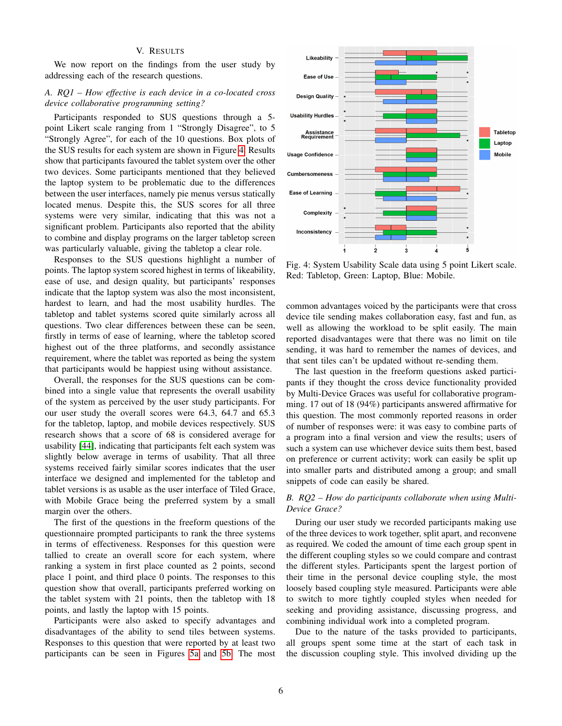# V. RESULTS

<span id="page-5-0"></span>We now report on the findings from the user study by addressing each of the research questions.

# *A. RQ1 – How effective is each device in a co-located cross device collaborative programming setting?*

Participants responded to SUS questions through a 5 point Likert scale ranging from 1 "Strongly Disagree", to 5 "Strongly Agree", for each of the 10 questions. Box plots of the SUS results for each system are shown in Figure [4.](#page-5-1) Results show that participants favoured the tablet system over the other two devices. Some participants mentioned that they believed the laptop system to be problematic due to the differences between the user interfaces, namely pie menus versus statically located menus. Despite this, the SUS scores for all three systems were very similar, indicating that this was not a significant problem. Participants also reported that the ability to combine and display programs on the larger tabletop screen was particularly valuable, giving the tabletop a clear role.

Responses to the SUS questions highlight a number of points. The laptop system scored highest in terms of likeability, ease of use, and design quality, but participants' responses indicate that the laptop system was also the most inconsistent, hardest to learn, and had the most usability hurdles. The tabletop and tablet systems scored quite similarly across all questions. Two clear differences between these can be seen, firstly in terms of ease of learning, where the tabletop scored highest out of the three platforms, and secondly assistance requirement, where the tablet was reported as being the system that participants would be happiest using without assistance.

Overall, the responses for the SUS questions can be combined into a single value that represents the overall usability of the system as perceived by the user study participants. For our user study the overall scores were 64.3, 64.7 and 65.3 for the tabletop, laptop, and mobile devices respectively. SUS research shows that a score of 68 is considered average for usability [\[44\]](#page-9-11), indicating that participants felt each system was slightly below average in terms of usability. That all three systems received fairly similar scores indicates that the user interface we designed and implemented for the tabletop and tablet versions is as usable as the user interface of Tiled Grace, with Mobile Grace being the preferred system by a small margin over the others.

The first of the questions in the freeform questions of the questionnaire prompted participants to rank the three systems in terms of effectiveness. Responses for this question were tallied to create an overall score for each system, where ranking a system in first place counted as 2 points, second place 1 point, and third place 0 points. The responses to this question show that overall, participants preferred working on the tablet system with 21 points, then the tabletop with 18 points, and lastly the laptop with 15 points.

Participants were also asked to specify advantages and disadvantages of the ability to send tiles between systems. Responses to this question that were reported by at least two participants can be seen in Figures [5a](#page-6-1) and [5b.](#page-6-1) The most

<span id="page-5-1"></span>

Fig. 4: System Usability Scale data using 5 point Likert scale. Red: Tabletop, Green: Laptop, Blue: Mobile.

common advantages voiced by the participants were that cross device tile sending makes collaboration easy, fast and fun, as well as allowing the workload to be split easily. The main reported disadvantages were that there was no limit on tile sending, it was hard to remember the names of devices, and that sent tiles can't be updated without re-sending them.

The last question in the freeform questions asked participants if they thought the cross device functionality provided by Multi-Device Graces was useful for collaborative programming. 17 out of 18 (94%) participants answered affirmative for this question. The most commonly reported reasons in order of number of responses were: it was easy to combine parts of a program into a final version and view the results; users of such a system can use whichever device suits them best, based on preference or current activity; work can easily be split up into smaller parts and distributed among a group; and small snippets of code can easily be shared.

# *B. RQ2 – How do participants collaborate when using Multi-Device Grace?*

During our user study we recorded participants making use of the three devices to work together, split apart, and reconvene as required. We coded the amount of time each group spent in the different coupling styles so we could compare and contrast the different styles. Participants spent the largest portion of their time in the personal device coupling style, the most loosely based coupling style measured. Participants were able to switch to more tightly coupled styles when needed for seeking and providing assistance, discussing progress, and combining individual work into a completed program.

Due to the nature of the tasks provided to participants, all groups spent some time at the start of each task in the discussion coupling style. This involved dividing up the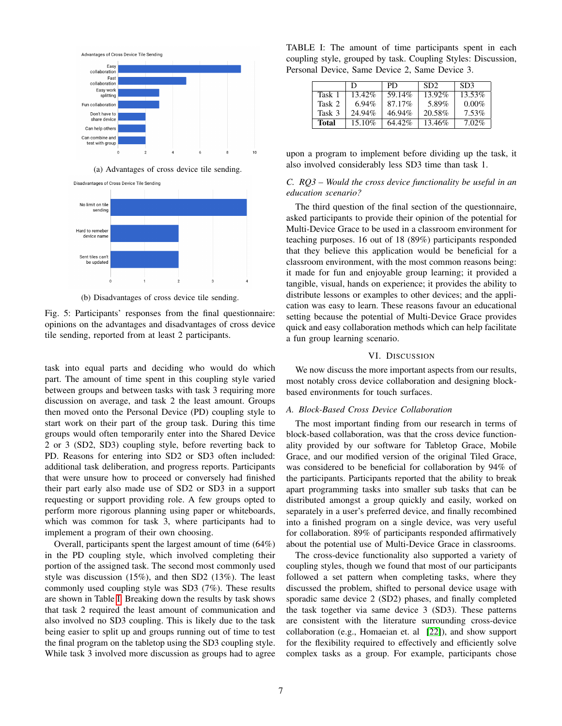<span id="page-6-1"></span>



(b) Disadvantages of cross device tile sending.

Fig. 5: Participants' responses from the final questionnaire: opinions on the advantages and disadvantages of cross device tile sending, reported from at least 2 participants.

task into equal parts and deciding who would do which part. The amount of time spent in this coupling style varied between groups and between tasks with task 3 requiring more discussion on average, and task 2 the least amount. Groups then moved onto the Personal Device (PD) coupling style to start work on their part of the group task. During this time groups would often temporarily enter into the Shared Device 2 or 3 (SD2, SD3) coupling style, before reverting back to PD. Reasons for entering into SD2 or SD3 often included: additional task deliberation, and progress reports. Participants that were unsure how to proceed or conversely had finished their part early also made use of SD2 or SD3 in a support requesting or support providing role. A few groups opted to perform more rigorous planning using paper or whiteboards, which was common for task 3, where participants had to implement a program of their own choosing.

Overall, participants spent the largest amount of time (64%) in the PD coupling style, which involved completing their portion of the assigned task. The second most commonly used style was discussion (15%), and then SD2 (13%). The least commonly used coupling style was SD3 (7%). These results are shown in Table [I.](#page-6-2) Breaking down the results by task shows that task 2 required the least amount of communication and also involved no SD3 coupling. This is likely due to the task being easier to split up and groups running out of time to test the final program on the tabletop using the SD3 coupling style. While task 3 involved more discussion as groups had to agree

<span id="page-6-2"></span>TABLE I: The amount of time participants spent in each coupling style, grouped by task. Coupling Styles: Discussion, Personal Device, Same Device 2, Same Device 3.

|        | Ð         | PD.    | SD <sub>2</sub> | SD <sub>3</sub> |
|--------|-----------|--------|-----------------|-----------------|
| Task 1 | 13.42%    | 59.14% | 13.92%          | 13.53%          |
| Task 2 | $6.94\%$  | 87.17% | 5.89%           | $0.00\%$        |
| Task 3 | 24.94%    | 46.94% | 20.58%          | $7.53\%$        |
| Total  | $15.10\%$ | 64.42% | 13.46%          | 7.02%           |

upon a program to implement before dividing up the task, it also involved considerably less SD3 time than task 1.

## *C. RQ3 – Would the cross device functionality be useful in an education scenario?*

The third question of the final section of the questionnaire, asked participants to provide their opinion of the potential for Multi-Device Grace to be used in a classroom environment for teaching purposes. 16 out of 18 (89%) participants responded that they believe this application would be beneficial for a classroom environment, with the most common reasons being: it made for fun and enjoyable group learning; it provided a tangible, visual, hands on experience; it provides the ability to distribute lessons or examples to other devices; and the application was easy to learn. These reasons favour an educational setting because the potential of Multi-Device Grace provides quick and easy collaboration methods which can help facilitate a fun group learning scenario.

## VI. DISCUSSION

<span id="page-6-0"></span>We now discuss the more important aspects from our results, most notably cross device collaboration and designing blockbased environments for touch surfaces.

# *A. Block-Based Cross Device Collaboration*

The most important finding from our research in terms of block-based collaboration, was that the cross device functionality provided by our software for Tabletop Grace, Mobile Grace, and our modified version of the original Tiled Grace, was considered to be beneficial for collaboration by 94% of the participants. Participants reported that the ability to break apart programming tasks into smaller sub tasks that can be distributed amongst a group quickly and easily, worked on separately in a user's preferred device, and finally recombined into a finished program on a single device, was very useful for collaboration. 89% of participants responded affirmatively about the potential use of Multi-Device Grace in classrooms.

The cross-device functionality also supported a variety of coupling styles, though we found that most of our participants followed a set pattern when completing tasks, where they discussed the problem, shifted to personal device usage with sporadic same device 2 (SD2) phases, and finally completed the task together via same device 3 (SD3). These patterns are consistent with the literature surrounding cross-device collaboration (e.g., Homaeian et. al [\[22\]](#page-8-41)), and show support for the flexibility required to effectively and efficiently solve complex tasks as a group. For example, participants chose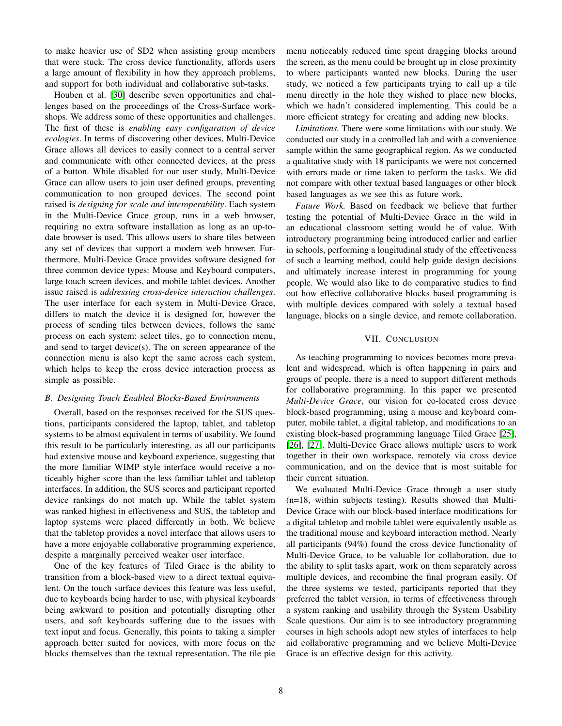to make heavier use of SD2 when assisting group members that were stuck. The cross device functionality, affords users a large amount of flexibility in how they approach problems, and support for both individual and collaborative sub-tasks.

Houben et al. [\[30\]](#page-8-2) describe seven opportunities and challenges based on the proceedings of the Cross-Surface workshops. We address some of these opportunities and challenges. The first of these is *enabling easy configuration of device ecologies*. In terms of discovering other devices, Multi-Device Grace allows all devices to easily connect to a central server and communicate with other connected devices, at the press of a button. While disabled for our user study, Multi-Device Grace can allow users to join user defined groups, preventing communication to non grouped devices. The second point raised is *designing for scale and interoperability*. Each system in the Multi-Device Grace group, runs in a web browser, requiring no extra software installation as long as an up-todate browser is used. This allows users to share tiles between any set of devices that support a modern web browser. Furthermore, Multi-Device Grace provides software designed for three common device types: Mouse and Keyboard computers, large touch screen devices, and mobile tablet devices. Another issue raised is *addressing cross-device interaction challenges*. The user interface for each system in Multi-Device Grace, differs to match the device it is designed for, however the process of sending tiles between devices, follows the same process on each system: select tiles, go to connection menu, and send to target device(s). The on screen appearance of the connection menu is also kept the same across each system, which helps to keep the cross device interaction process as simple as possible.

## *B. Designing Touch Enabled Blocks-Based Environments*

Overall, based on the responses received for the SUS questions, participants considered the laptop, tablet, and tabletop systems to be almost equivalent in terms of usability. We found this result to be particularly interesting, as all our participants had extensive mouse and keyboard experience, suggesting that the more familiar WIMP style interface would receive a noticeably higher score than the less familiar tablet and tabletop interfaces. In addition, the SUS scores and participant reported device rankings do not match up. While the tablet system was ranked highest in effectiveness and SUS, the tabletop and laptop systems were placed differently in both. We believe that the tabletop provides a novel interface that allows users to have a more enjoyable collaborative programming experience, despite a marginally perceived weaker user interface.

One of the key features of Tiled Grace is the ability to transition from a block-based view to a direct textual equivalent. On the touch surface devices this feature was less useful, due to keyboards being harder to use, with physical keyboards being awkward to position and potentially disrupting other users, and soft keyboards suffering due to the issues with text input and focus. Generally, this points to taking a simpler approach better suited for novices, with more focus on the blocks themselves than the textual representation. The tile pie menu noticeably reduced time spent dragging blocks around the screen, as the menu could be brought up in close proximity to where participants wanted new blocks. During the user study, we noticed a few participants trying to call up a tile menu directly in the hole they wished to place new blocks, which we hadn't considered implementing. This could be a more efficient strategy for creating and adding new blocks.

*Limitations.* There were some limitations with our study. We conducted our study in a controlled lab and with a convenience sample within the same geographical region. As we conducted a qualitative study with 18 participants we were not concerned with errors made or time taken to perform the tasks. We did not compare with other textual based languages or other block based languages as we see this as future work.

*Future Work.* Based on feedback we believe that further testing the potential of Multi-Device Grace in the wild in an educational classroom setting would be of value. With introductory programming being introduced earlier and earlier in schools, performing a longitudinal study of the effectiveness of such a learning method, could help guide design decisions and ultimately increase interest in programming for young people. We would also like to do comparative studies to find out how effective collaborative blocks based programming is with multiple devices compared with solely a textual based language, blocks on a single device, and remote collaboration.

## VII. CONCLUSION

<span id="page-7-0"></span>As teaching programming to novices becomes more prevalent and widespread, which is often happening in pairs and groups of people, there is a need to support different methods for collaborative programming. In this paper we presented *Multi-Device Grace*, our vision for co-located cross device block-based programming, using a mouse and keyboard computer, mobile tablet, a digital tabletop, and modifications to an existing block-based programming language Tiled Grace [\[25\]](#page-8-4), [\[26\]](#page-8-5), [\[27\]](#page-8-6). Multi-Device Grace allows multiple users to work together in their own workspace, remotely via cross device communication, and on the device that is most suitable for their current situation.

We evaluated Multi-Device Grace through a user study (n=18, within subjects testing). Results showed that Multi-Device Grace with our block-based interface modifications for a digital tabletop and mobile tablet were equivalently usable as the traditional mouse and keyboard interaction method. Nearly all participants (94%) found the cross device functionality of Multi-Device Grace, to be valuable for collaboration, due to the ability to split tasks apart, work on them separately across multiple devices, and recombine the final program easily. Of the three systems we tested, participants reported that they preferred the tablet version, in terms of effectiveness through a system ranking and usability through the System Usability Scale questions. Our aim is to see introductory programming courses in high schools adopt new styles of interfaces to help aid collaborative programming and we believe Multi-Device Grace is an effective design for this activity.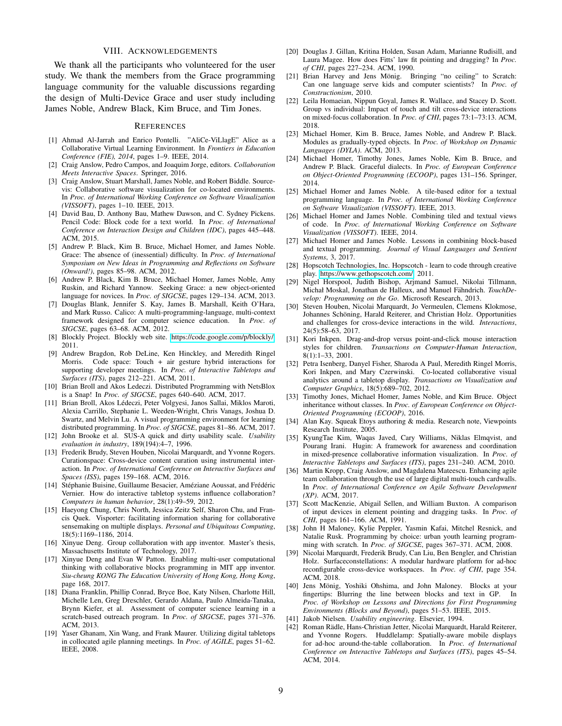## VIII. ACKNOWLEDGEMENTS

We thank all the participants who volunteered for the user study. We thank the members from the Grace programming language community for the valuable discussions regarding the design of Multi-Device Grace and user study including James Noble, Andrew Black, Kim Bruce, and Tim Jones.

#### **REFERENCES**

- <span id="page-8-20"></span>[1] Ahmad Al-Jarrah and Enrico Pontelli. "AliCe-ViLlagE" Alice as a Collaborative Virtual Learning Environment. In *Frontiers in Education Conference (FIE), 2014*, pages 1–9. IEEE, 2014.
- <span id="page-8-25"></span>[2] Craig Anslow, Pedro Campos, and Joaquim Jorge, editors. *Collaboration Meets Interactive Spaces*. Springer, 2016.
- <span id="page-8-28"></span>[3] Craig Anslow, Stuart Marshall, James Noble, and Robert Biddle. Sourcevis: Collaborative software visualization for co-located environments. In *Proc. of International Working Conference on Software Visualization (VISSOFT)*, pages 1–10. IEEE, 2013.
- <span id="page-8-9"></span>[4] David Bau, D. Anthony Bau, Mathew Dawson, and C. Sydney Pickens. Pencil Code: Block code for a text world. In *Proc. of International Conference on Interaction Design and Children (IDC)*, pages 445–448. ACM, 2015.
- <span id="page-8-12"></span>[5] Andrew P. Black, Kim B. Bruce, Michael Homer, and James Noble. Grace: The absence of (inessential) difficulty. In *Proc. of International Symposium on New Ideas in Programming and Reflections on Software (Onward!)*, pages 85–98. ACM, 2012.
- <span id="page-8-13"></span>[6] Andrew P. Black, Kim B. Bruce, Michael Homer, James Noble, Amy Ruskin, and Richard Yannow. Seeking Grace: a new object-oriented language for novices. In *Proc. of SIGCSE*, pages 129–134. ACM, 2013.
- <span id="page-8-11"></span>[7] Douglas Blank, Jennifer S. Kay, James B. Marshall, Keith O'Hara, and Mark Russo. Calico: A multi-programming-language, multi-context framework designed for computer science education. In *Proc. of SIGCSE*, pages 63–68. ACM, 2012.
- <span id="page-8-8"></span>[8] Blockly Project. Blockly web site. [https://code.google.com/p/blockly/,](https://code.google.com/p/blockly/) 2011.
- <span id="page-8-29"></span>[9] Andrew Bragdon, Rob DeLine, Ken Hinckley, and Meredith Ringel Morris. Code space: Touch + air gesture hybrid interactions for supporting developer meetings. In *Proc. of Interactive Tabletops and Surfaces (ITS)*, pages 212–221. ACM, 2011.
- <span id="page-8-21"></span>[10] Brian Broll and Akos Ledeczi. Distributed Programming with NetsBlox is a Snap! In *Proc. of SIGCSE*, pages 640–640. ACM, 2017.
- <span id="page-8-22"></span>[11] Brian Broll, Akos Lédeczi, Peter Volgyesi, Janos Sallai, Miklos Maroti, Alexia Carrillo, Stephanie L. Weeden-Wright, Chris Vanags, Joshua D. Swartz, and Melvin Lu. A visual programming environment for learning distributed programming. In *Proc. of SIGCSE*, pages 81–86. ACM, 2017.
- <span id="page-8-40"></span>[12] John Brooke et al. SUS-A quick and dirty usability scale. *Usability evaluation in industry*, 189(194):4–7, 1996.
- <span id="page-8-33"></span>[13] Frederik Brudy, Steven Houben, Nicolai Marquardt, and Yvonne Rogers. Curationspace: Cross-device content curation using instrumental interaction. In *Proc. of International Conference on Interactive Surfaces and Spaces (ISS)*, pages 159–168. ACM, 2016.
- <span id="page-8-3"></span>[14] Stéphanie Buisine, Guillaume Besacier, Améziane Aoussat, and Frédéric Vernier. How do interactive tabletop systems influence collaboration? *Computers in human behavior*, 28(1):49–59, 2012.
- <span id="page-8-35"></span>[15] Haeyong Chung, Chris North, Jessica Zeitz Self, Sharon Chu, and Francis Quek. Visporter: facilitating information sharing for collaborative sensemaking on multiple displays. *Personal and Ubiquitous Computing*, 18(5):1169–1186, 2014.
- <span id="page-8-23"></span>[16] Xinyue Deng. Group collaboration with app inventor. Master's thesis, Massachusetts Institute of Technology, 2017.
- <span id="page-8-24"></span>[17] Xinyue Deng and Evan W Patton. Enabling multi-user computational thinking with collaborative blocks programming in MIT app inventor. *Siu-cheung KONG The Education University of Hong Kong, Hong Kong*, page 168, 2017.
- <span id="page-8-0"></span>[18] Diana Franklin, Phillip Conrad, Bryce Boe, Katy Nilsen, Charlotte Hill, Michelle Len, Greg Dreschler, Gerardo Aldana, Paulo Almeida-Tanaka, Brynn Kiefer, et al. Assessment of computer science learning in a scratch-based outreach program. In *Proc. of SIGCSE*, pages 371–376. ACM, 2013.
- <span id="page-8-30"></span>[19] Yaser Ghanam, Xin Wang, and Frank Maurer. Utilizing digital tabletops in collocated agile planning meetings. In *Proc. of AGILE*, pages 51–62. IEEE, 2008.
- <span id="page-8-14"></span>[20] Douglas J. Gillan, Kritina Holden, Susan Adam, Marianne Rudisill, and Laura Magee. How does Fitts' law fit pointing and dragging? In *Proc. of CHI*, pages 227–234. ACM, 1990.
- <span id="page-8-19"></span>[21] Brian Harvey and Jens Mönig. Bringing "no ceiling" to Scratch: Can one language serve kids and computer scientists? In *Proc. of Constructionism*, 2010.
- <span id="page-8-41"></span>[22] Leila Homaeian, Nippun Goyal, James R. Wallace, and Stacey D. Scott. Group vs individual: Impact of touch and tilt cross-device interactions on mixed-focus collaboration. In *Proc. of CHI*, pages 73:1–73:13. ACM, 2018.
- <span id="page-8-36"></span>[23] Michael Homer, Kim B. Bruce, James Noble, and Andrew P. Black. Modules as gradually-typed objects. In *Proc. of Workshop on Dynamic Languages (DYLA)*. ACM, 2013.
- <span id="page-8-38"></span>[24] Michael Homer, Timothy Jones, James Noble, Kim B. Bruce, and Andrew P. Black. Graceful dialects. In *Proc. of European Conference on Object-Oriented Programming (ECOOP)*, pages 131–156. Springer, 2014.
- <span id="page-8-4"></span>[25] Michael Homer and James Noble. A tile-based editor for a textual programming language. In *Proc. of International Working Conference on Software Visualization (VISSOFT)*. IEEE, 2013.
- <span id="page-8-5"></span>[26] Michael Homer and James Noble. Combining tiled and textual views of code. In *Proc. of International Working Conference on Software Visualization (VISSOFT)*. IEEE, 2014.
- <span id="page-8-6"></span>[27] Michael Homer and James Noble. Lessons in combining block-based and textual programming. *Journal of Visual Languages and Sentient Systems*, 3, 2017.
- <span id="page-8-17"></span>[28] Hopscotch Technologies, Inc. Hopscotch - learn to code through creative play. [https://www.gethopscotch.com/,](https://www.gethopscotch.com/) 2011.
- <span id="page-8-18"></span>[29] Nigel Horspool, Judith Bishop, Arjmand Samuel, Nikolai Tillmann, Michał Moskal, Jonathan de Halleux, and Manuel Fähndrich. TouchDe*velop: Programming on the Go*. Microsoft Research, 2013.
- <span id="page-8-2"></span>[30] Steven Houben, Nicolai Marquardt, Jo Vermeulen, Clemens Klokmose, Johannes Schöning, Harald Reiterer, and Christian Holz. Opportunities and challenges for cross-device interactions in the wild. *Interactions*, 24(5):58–63, 2017.
- <span id="page-8-15"></span>[31] Kori Inkpen. Drag-and-drop versus point-and-click mouse interaction styles for children. *Transactions on Computer-Human Interaction*, 8(1):1–33, 2001.
- <span id="page-8-26"></span>[32] Petra Isenberg, Danyel Fisher, Sharoda A Paul, Meredith Ringel Morris, Kori Inkpen, and Mary Czerwinski. Co-located collaborative visual analytics around a tabletop display. *Transactions on Visualization and Computer Graphics*, 18(5):689–702, 2012.
- <span id="page-8-37"></span>[33] Timothy Jones, Michael Homer, James Noble, and Kim Bruce. Object inheritance without classes. In *Proc. of European Conference on Object-Oriented Programming (ECOOP)*, 2016.
- <span id="page-8-7"></span>[34] Alan Kay. Squeak Etoys authoring & media. Research note, Viewpoints Research Institute, 2005.
- <span id="page-8-27"></span>[35] KyungTae Kim, Waqas Javed, Cary Williams, Niklas Elmqvist, and Pourang Irani. Hugin: A framework for awareness and coordination in mixed-presence collaborative information visualization. In *Proc. of Interactive Tabletops and Surfaces (ITS)*, pages 231–240. ACM, 2010.
- <span id="page-8-31"></span>[36] Martin Kropp, Craig Anslow, and Magdalena Mateescu. Enhancing agile team collaboration through the use of large digital multi-touch cardwalls. In *Proc. of International Conference on Agile Software Development (XP)*. ACM, 2017.
- <span id="page-8-16"></span>[37] Scott MacKenzie, Abigail Sellen, and William Buxton. A comparison of input devices in element pointing and dragging tasks. In *Proc. of CHI*, pages 161–166. ACM, 1991.
- <span id="page-8-1"></span>[38] John H Maloney, Kylie Peppler, Yasmin Kafai, Mitchel Resnick, and Natalie Rusk. Programming by choice: urban youth learning programming with scratch. In *Proc. of SIGCSE*, pages 367–371. ACM, 2008.
- <span id="page-8-34"></span>[39] Nicolai Marquardt, Frederik Brudy, Can Liu, Ben Bengler, and Christian Holz. Surfaceconstellations: A modular hardware platform for ad-hoc reconfigurable cross-device workspaces. In *Proc. of CHI*, page 354. ACM, 2018.
- <span id="page-8-10"></span>[40] Jens Mönig, Yoshiki Ohshima, and John Maloney. Blocks at your fingertips: Blurring the line between blocks and text in GP. In *Proc. of Workshop on Lessons and Directions for First Programming Environments (Blocks and Beyond)*, pages 51–53. IEEE, 2015.
- <span id="page-8-39"></span>[41] Jakob Nielsen. *Usability engineering*. Elsevier, 1994.
- <span id="page-8-32"></span>[42] Roman Rädle, Hans-Christian Jetter, Nicolai Marquardt, Harald Reiterer, and Yvonne Rogers. Huddlelamp: Spatially-aware mobile displays for ad-hoc around-the-table collaboration. In *Proc. of International Conference on Interactive Tabletops and Surfaces (ITS)*, pages 45–54. ACM, 2014.